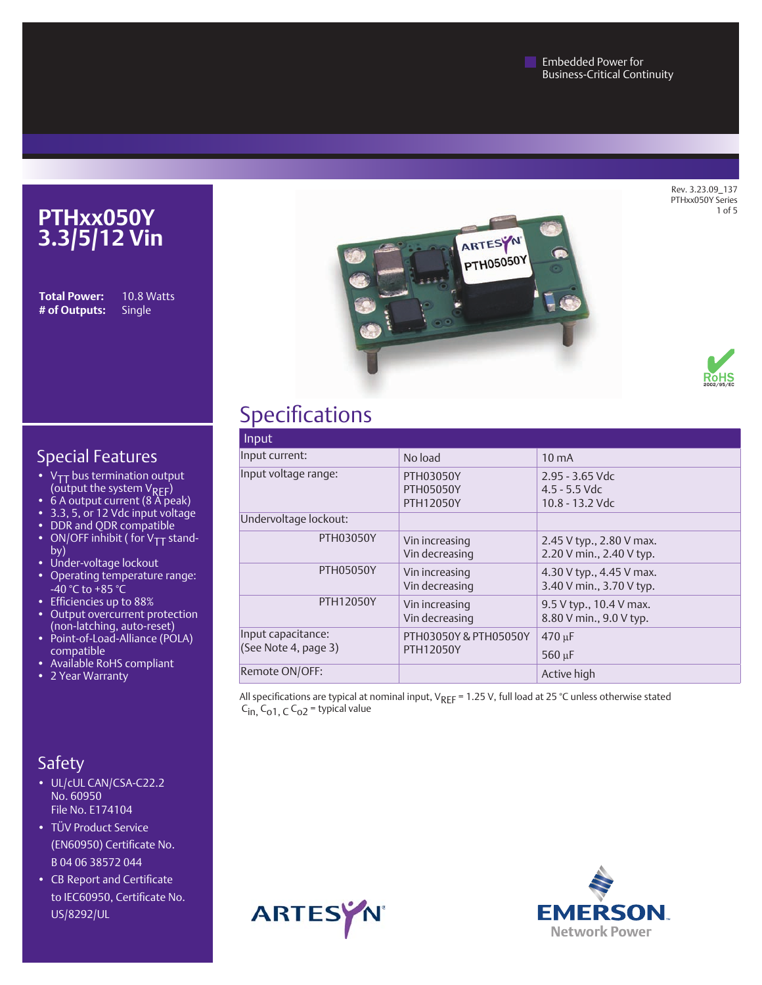**Embedded Power for** Business-Critical Continuity

> Rev. 3.23.09\_137 PTHxx050Y Series of 5



**# of Outputs:** Single

**Total Power:** 10.8 Watts





### Special Features

- $V_{TT}$  bus termination output (output the system  $V_{REF}$ )
- $6$  A output current (8 A peak)
- • 3.3, 5, or 12 Vdc input voltage
- DDR and QDR compatible
- ON/OFF inhibit ( for  $V_{TT}$  standby)
- Under-voltage lockout
- Operating temperature range: -40 °C to +85 °C
- • Efficiencies up to 88%
- Output overcurrent protection (non-latching, auto-reset)
- Point-of-Load-Alliance (POLA) compatible
- Available RoHS compliant
- 2 Year Warranty

### Safety

- UL/cUL CAN/CSA-C22.2 No. 60950 File No. E174104
- TÜV Product Service (EN60950) Certificate No. B 04 06 38572 044
- CB Report and Certificate to IEC60950, Certificate No. US/8292/UL

# Specifications

| Input                                      |                                            |                                                           |
|--------------------------------------------|--------------------------------------------|-----------------------------------------------------------|
| Input current:                             | No load                                    | $10 \text{ mA}$                                           |
| Input voltage range:                       | PTH03050Y<br><b>PTH05050Y</b><br>PTH12050Y | $2.95 - 3.65$ Vdc<br>$4.5 - 5.5$ Vdc<br>$10.8 - 13.2$ Vdc |
| Undervoltage lockout:                      |                                            |                                                           |
| <b>PTH03050Y</b>                           | Vin increasing<br>Vin decreasing           | 2.45 V typ., 2.80 V max.<br>2.20 V min., 2.40 V typ.      |
| <b>PTH05050Y</b>                           | Vin increasing<br>Vin decreasing           | 4.30 V typ., 4.45 V max.<br>3.40 V min., 3.70 V typ.      |
| <b>PTH12050Y</b>                           | Vin increasing<br>Vin decreasing           | 9.5 V typ., 10.4 V max.<br>8.80 V min., 9.0 V typ.        |
| Input capacitance:<br>(See Note 4, page 3) | PTH03050Y & PTH05050Y<br><b>PTH12050Y</b>  | $470 \text{ µF}$<br>$560 \,\mathrm{\upmu F}$              |
| Remote ON/OFF:                             |                                            | Active high                                               |

All specifications are typical at nominal input,  $V_{REF}$  = 1.25 V, full load at 25 °C unless otherwise stated  $C_{in}$ ,  $C_{o1}$ ,  $C_{o2}$  = typical value



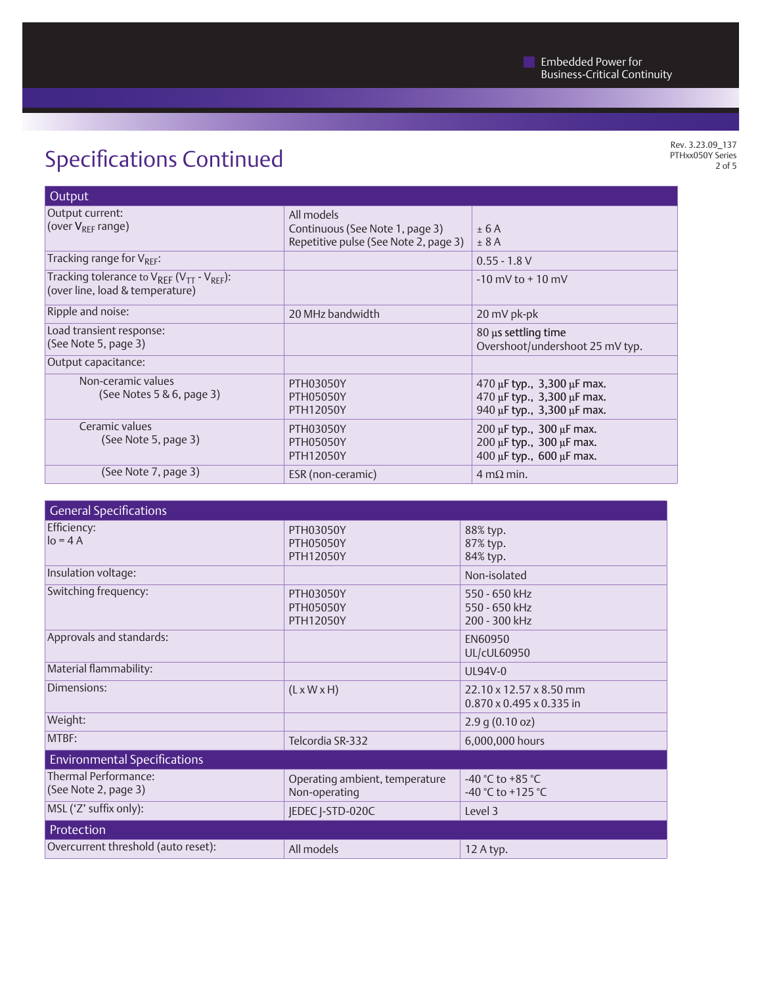# Specifications Continued

Rev. 3.23.09\_137 PTHxx050Y Series 2 of 5

| Output                                                                                       |                                                                                        |                                                                                                  |
|----------------------------------------------------------------------------------------------|----------------------------------------------------------------------------------------|--------------------------------------------------------------------------------------------------|
| Output current:<br>(over $V_{RFF}$ range)                                                    | All models<br>Continuous (See Note 1, page 3)<br>Repetitive pulse (See Note 2, page 3) | ± 6A<br>± 8A                                                                                     |
| Tracking range for $V_{RFF}$ :                                                               |                                                                                        | $0.55 - 1.8 V$                                                                                   |
| Tracking tolerance to $V_{REF}$ ( $V_{TT}$ - $V_{REF}$ ):<br>(over line, load & temperature) |                                                                                        | $-10$ mV to $+10$ mV                                                                             |
| Ripple and noise:                                                                            | 20 MHz bandwidth                                                                       | 20 mV pk-pk                                                                                      |
| Load transient response:<br>(See Note 5, page 3)                                             |                                                                                        | 80 µs settling time<br>Overshoot/undershoot 25 mV typ.                                           |
| Output capacitance:                                                                          |                                                                                        |                                                                                                  |
| Non-ceramic values<br>(See Notes $5 & 6$ , page 3)                                           | <b>PTH03050Y</b><br><b>PTH05050Y</b><br><b>PTH12050Y</b>                               | 470 µF typ., 3,300 µF max.<br>470 µF typ., 3,300 µF max.<br>940 $\mu$ F typ., 3,300 $\mu$ F max. |
| Ceramic values<br>(See Note 5, page 3)                                                       | <b>PTH03050Y</b><br><b>PTH05050Y</b><br><b>PTH12050Y</b>                               | $200 \,\mu$ F typ., $300 \,\mu$ F max.<br>200 µF typ., 300 µF max.<br>400 µF typ., 600 µF max.   |
| (See Note 7, page 3)                                                                         | ESR (non-ceramic)                                                                      | $4 \text{ m}\Omega$ min.                                                                         |

| <b>General Specifications</b>                |                                                          |                                                                 |
|----------------------------------------------|----------------------------------------------------------|-----------------------------------------------------------------|
| Efficiency:<br>$lo = 4A$                     | <b>PTH03050Y</b><br><b>PTH05050Y</b><br><b>PTH12050Y</b> | 88% typ.<br>87% typ.<br>84% typ.                                |
| Insulation voltage:                          |                                                          | Non-isolated                                                    |
| Switching frequency:                         | <b>PTH03050Y</b><br><b>PTH05050Y</b><br>PTH12050Y        | 550 - 650 kHz<br>550 - 650 kHz<br>200 - 300 kHz                 |
| Approvals and standards:                     |                                                          | EN60950<br>UL/cUL60950                                          |
| Material flammability:                       |                                                          | UL94V-0                                                         |
| Dimensions:                                  | $(L \times W \times H)$                                  | 22.10 x 12.57 x 8.50 mm<br>$0.870 \times 0.495 \times 0.335$ in |
| Weight:                                      |                                                          | 2.9 g (0.10 oz)                                                 |
| MTBF:                                        | Telcordia SR-332                                         | 6,000,000 hours                                                 |
| <b>Environmental Specifications</b>          |                                                          |                                                                 |
| Thermal Performance:<br>(See Note 2, page 3) | Operating ambient, temperature<br>Non-operating          | -40 °C to +85 °C<br>-40 °C to +125 °C                           |
| MSL ('Z' suffix only):                       | <b>IEDEC I-STD-020C</b>                                  | Level 3                                                         |
| Protection                                   |                                                          |                                                                 |
| Overcurrent threshold (auto reset):          | All models                                               | 12 A typ.                                                       |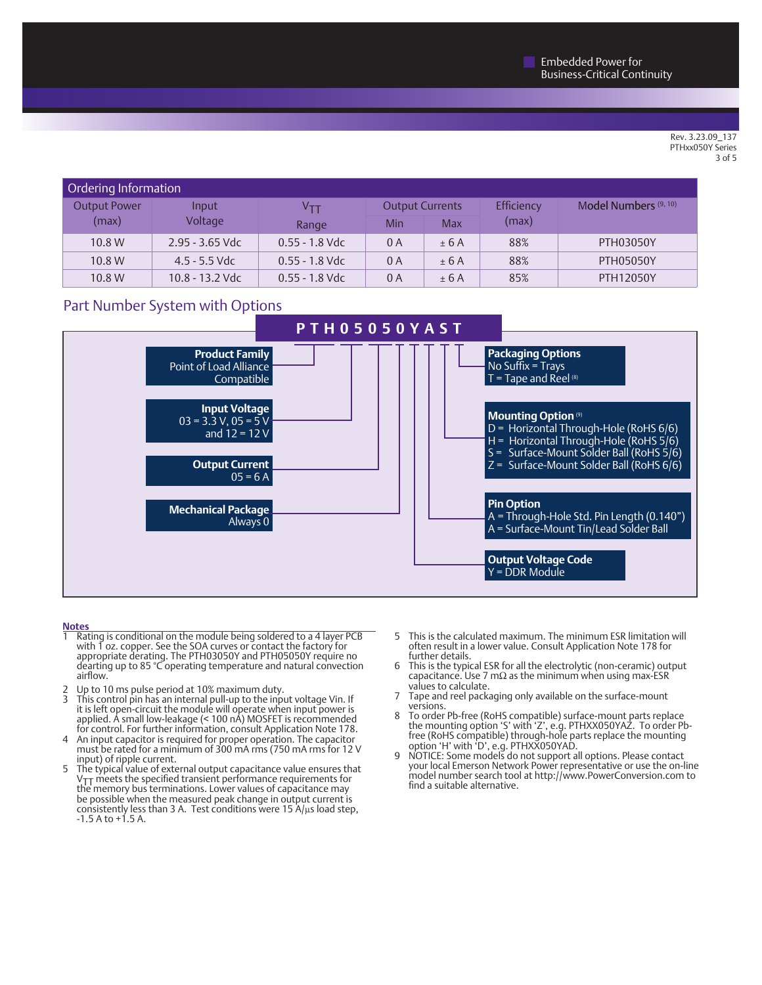#### Rev. 3.23.09\_137 PTHxx050Y Series 3 of 5

| Ordering Information         |                   |                  |                        |            |            |                       |
|------------------------------|-------------------|------------------|------------------------|------------|------------|-----------------------|
| <b>Output Power</b><br>Input |                   | Ѵ⊤т              | <b>Output Currents</b> |            | Efficiency | Model Numbers (9, 10) |
| (max)                        | Voltage           | Range            | Min                    | <b>Max</b> | (max)      |                       |
| 10.8 W                       | $2.95 - 3.65$ Vdc | $0.55 - 1.8$ Vdc | 0A                     | ± 6A       | 88%        | <b>PTH03050Y</b>      |
| 10.8 W                       | $4.5 - 5.5$ Vdc   | $0.55 - 1.8$ Vdc | 0 A                    | ± 6A       | 88%        | <b>PTH05050Y</b>      |
| 10.8 W                       | 10.8 - 13.2 Vdc   | $0.55 - 1.8$ Vdc | 0 A                    | ± 6A       | 85%        | <b>PTH12050Y</b>      |

### Part Number System with Options



#### **Notes**

- Rating is conditional on the module being soldered to a 4 layer PCB with 1 oz. copper. See the SOA curves or contact the factory for appropriate derating. The PTH03050Y and PTH05050Y require no dearting up to 85 °C operating temperature and natural convection airflow.
- 2 Up to 10 ms pulse period at 10% maximum duty.<br>3 This control pin has an internal pull-up to the inpu
- 3  $\,$  This control pin has an internal pull-up to the input voltage Vin. If it is left open-circuit the module will operate when input power is applied. A small low-leakage (< 100 nA) MOSFET is recommended for control. For further information, consult Application Note 178.
- 4 An input capacitor is required for proper operation. The capacitor must be rated for a minimum of 300 mA rms (750 mA rms for 12 V input) of ripple current.
- 5 The typical value of external output capacitance value ensures that VTT meets the specified transient performance requirements for the memory bus terminations. Lower values of capacitance may be possible when the measured peak change in output current is consistently less than 3 A. Test conditions were 15  $A/\mu s$  load step,  $-1.5$  A to  $+1.5$  A.
- 5 This is the calculated maximum. The minimum ESR limitation will often result in a lower value. Consult Application Note 178 for further details.
- 6 This is the typical ESR for all the electrolytic (non-ceramic) output capacitance. Use 7 m $\Omega$  as the minimum when using max-ESR values to calculate.
- 7 Tape and reel packaging only available on the surface-mount versions.
- 8 To order Pb-free (RoHS compatible) surface-mount parts replace the mounting option 'S' with 'Z', e.g. PTHXX050YAZ. To order Pbfree (RoHS compatible) through-hole parts replace the mounting option 'H' with 'D', e.g. PTHXX050YAD.
- 9 NOTICE: Some models do not support all options. Please contact your local Emerson Network Power representative or use the on-line model number search tool at http://www.PowerConversion.com to find a suitable alternative.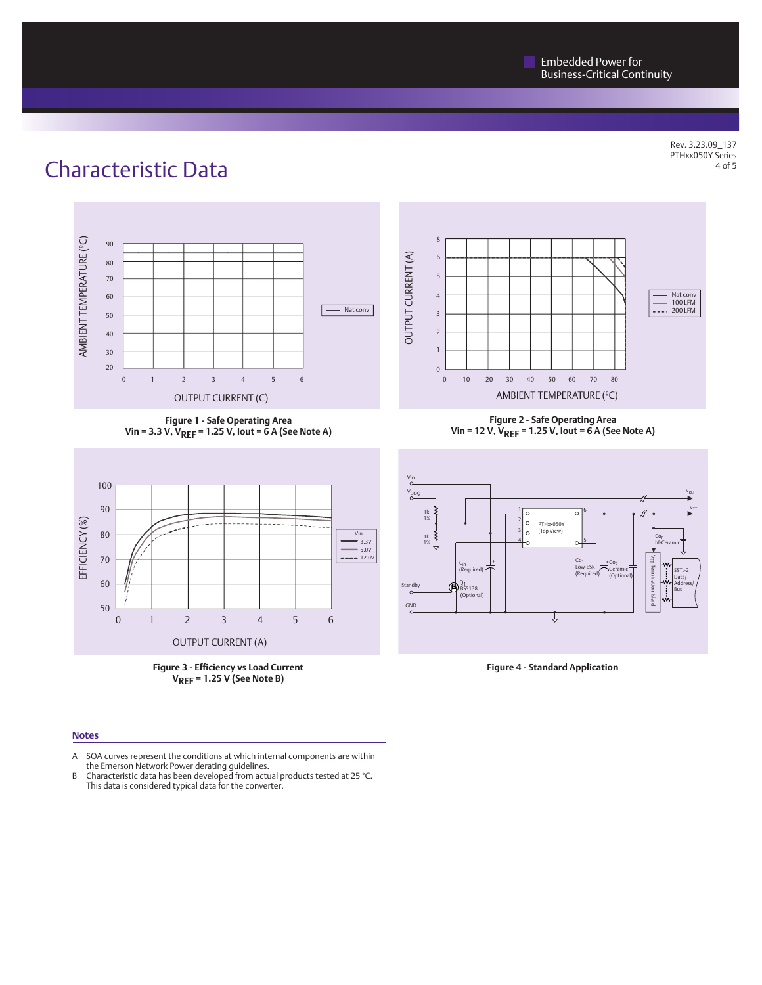Rev. 3.23.09\_137 PTHxx050Y Series of 5

## Characteristic Data



**Figure 1 - Safe Operating Area Vin = 3.3 V, VREF = 1.25 V, Iout = 6 A (See Note A)**





#### 8OUTPUT CURRENT (A) 6 OUTPUT CURRENT (A) 5 4 Nat conv 100 LFM  $--- 200$  LFM 3 2 1  $\Omega$ 0 10 20 30 40 50 60 70 80 AMBIENT TEMPERATURE (ºC)

**Figure 2 - Safe Operating Area Vin = 12 V, VREF = 1.25 V, Iout = 6 A (See Note A)**



#### **Notes**

- A SOA curves represent the conditions at which internal components are within the Emerson Network Power derating guidelines.
- B Characteristic data has been developed from actual products tested at 25 °C.